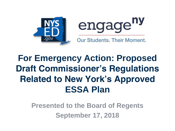



**For Emergency Action: Proposed Draft Commissioner's Regulations Related to New York's Approved ESSA Plan**

> **Presented to the Board of Regents September 17, 2018**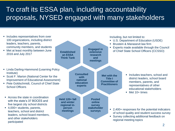### To craft its ESSA plan, including accountability proposals, NYSED engaged with many stakeholders

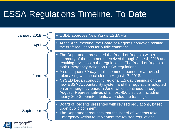### ESSA Regulations Timeline, To Date

Apr **June** 





#### January 2018  $\leq$  • USDE approves New York's ESSA Plan.

• At the April meeting, the Board of Regents approved posting the draft regulations for public comment.

- The Department presented the Board of Regents with a summary of the comments received through June 4, 2018 and resulting revisions to the regulations. The Board of Regents took Emergency Action on ESSA regulations.
- A subsequent 30-day public comment period for a revised rulemaking was concluded on August 17, 2018.
- NYSED began conducting regional 1.5 day trainings on the new ESSA Accountability system and the regulations adopted on an emergency basis in June, which continued through August. Representatives of almost 450 districts, including nearly 300 Superintendents, attended the trainings.
- Board of Regents presented with revised regulations, based upon public comment.
- The Department requests that the Board of Regents take Emergency Action to implement the revised regulations.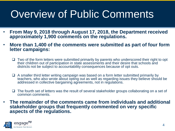## Overview of Public Comments

- **From May 9, 2018 through August 17, 2018, the Department received approximately 1,900 comments on the regulations.**
- **More than 1,400 of the comments were submitted as part of four form letter campaigns:**
	- ❑ Two of the form letters were submitted primarily by parents who underscored their right to opt their children out of participation in state assessments and their desire that schools and districts not be subject to accountability consequences because of opt outs.
	- ❑ A smaller third letter writing campaign was based on a form letter submitted primarily by teachers, who also wrote about opting out as well as regarding issues they believe should be addressed in collective bargaining agreements, not in regulations.
	- ❑ The fourth set of letters was the result of several stakeholder groups collaborating on a set of common comments.
- **The remainder of the comments came from individuals and additional stakeholder groups that frequently commented on very specific aspects of the regulations.**

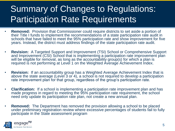### Summary of Changes to Regulations: Participation Rate Requirements

- **Removed:** Provision that Commissioner could require districts to set aside a portion of their Title I funds to implement the recommendations of a state participation rate audit in schools that have failed to meet the 95% participation rate and show improvement for five years. Instead, the district must address findings of the state participation rate audit.
- **Revision:** A Targeted Support and Improvement (TSI) School or Comprehensive Support and Improvement (CSI) School that is implementing a participation rate improvement plan will be eligible for removal, as long as the accountability group(s) for which a plan is required is not performing at Level 1 on the Weighted Average Achievement Index.
- **Revision:** If an accountability group has a Weighted Average Achievement Index that is above the state average (Level 3 or 4), a school is not required to develop a participation rate improvement plan for that group, regardless of the group's participation rate.
- **Clarification:** If a school is implementing a participation rate improvement plan and has made progress in regard to meeting the 95% participation rate requirement, the school need only update its participation rate plan, not create a new annual plan.
- **Removed:** The Department has removed the provision allowing a school to be placed under preliminary registration review where excessive percentages of students fail to fully participate in the State assessment program

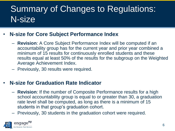### Summary of Changes to Regulations: N-size

#### • **N-size for Core Subject Performance Index**

- **Revision**: A Core Subject Performance Index will be computed if an accountability group has for the current year and prior year combined a minimum of 15 results for continuously enrolled students and these results equal at least 50% of the results for the subgroup on the Weighted Average Achievement Index.
- Previously, 30 results were required.

#### • **N-size for Graduation Rate Indicator**

- **Revision**: If the number of Composite Performance results for a high school accountability group is equal to or greater than 30, a graduation rate level shall be computed, as long as there is a minimum of 15 students in that group's graduation cohort.
- Previously, 30 students in the graduation cohort were required.

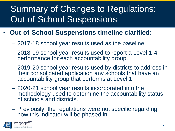### Summary of Changes to Regulations: Out-of-School Suspensions

- **Out-of-School Suspensions timeline clarified**:
	- 2017-18 school year results used as the baseline.
	- 2018-19 school year results used to report a Level 1-4 performance for each accountability group.
	- 2019-20 school year results used by districts to address in their consolidated application any schools that have an accountability group that performs at Level 1.
	- 2020-21 school year results incorporated into the methodology used to determine the accountability status of schools and districts.
	- Previously, the regulations were not specific regarding how this indicator will be phased in.

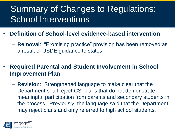### Summary of Changes to Regulations: School Interventions

- **Definition of School-level evidence-based intervention**
	- **Removal**: "Promising practice" provision has been removed as a result of USDE guidance to states.
- **Required Parental and Student Involvement in School Improvement Plan**
	- **Revision**: Strengthened language to make clear that the Department shall reject CSI plans that do not demonstrate meaningful participation from parents and secondary students in the process. Previously, the language said that the Department may reject plans and only referred to high school students.

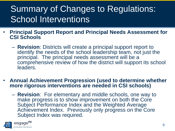### Summary of Changes to Regulations: School Interventions

- **Principal Support Report and Principal Needs Assessment for CSI Schools** 
	- **Revision**: Districts will create a principal support report to identify the needs of the school leadership team, not just the principal. The principal needs assessment will be a comprehensive review of how the district will support its school leaders.
- **Annual Achievement Progression (used to determine whether more rigorous interventions are needed in CSI schools)**
	- **Revision**: For elementary and middle schools, one way to make progress is to show improvement on both the Core Subject Performance Index and the Weighted Average Achievement Index. Previously only progress on the Core Subject Index was required.

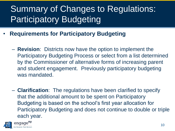## Summary of Changes to Regulations: **Participatory Budgeting**

- **Requirements for Participatory Budgeting**
	- **Revision**: Districts now have the option to implement the Participatory Budgeting Process or select from a list determined by the Commissioner of alternative forms of increasing parent and student engagement. Previously participatory budgeting was mandated.
	- **Clarification**: The regulations have been clarified to specify that the additional amount to be spent on Participatory Budgeting is based on the school's first year allocation for Participatory Budgeting and does not continue to double or triple each year.

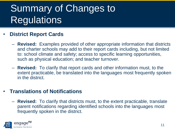## Summary of Changes to **Regulations**

#### • **District Report Cards**

- **Revised:** Examples provided of other appropriate information that districts and charter schools may add to their report cards including, but not limited to: school climate and safety; access to specific learning opportunities, such as physical education; and teacher turnover.
- **Revised:** To clarify that report cards and other information must, to the extent practicable, be translated into the languages most frequently spoken in the district.

#### • **Translations of Notifications**

– **Revised:** To clarify that districts must, to the extent practicable, translate parent notifications regarding identified schools into the languages most frequently spoken in the district.

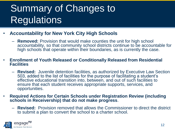## Summary of Changes to **Regulations**

#### • **Accountability for New York City High Schools**

– **Removed:** Provision that would make counties the unit for high school accountability, so that community school districts continue to be accountable for high schools that operate within their boundaries, as is currently the case.

#### • **Enrollment of Youth Released or Conditionally Released from Residential Facilities**

- **Revised:** Juvenile detention facilities, as authorized by Executive Law Section 503, added to the list of facilities for the purpose of facilitating a student's effective educational transition into, between, and out of such facilities to ensure that each student receives appropriate supports, services, and opportunities.
- **Required Actions for Certain Schools under Registration Review (including schools in Receivership) that do not make progress**.
	- **Revised:** Provision removed that allows the Commissioner to direct the district to submit a plan to convert the school to a charter school.

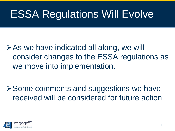## ESSA Regulations Will Evolve

➢As we have indicated all along, we will consider changes to the ESSA regulations as we move into implementation.

➢Some comments and suggestions we have received will be considered for future action.

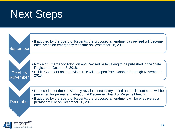## Next Steps

Our Students, Their Mor